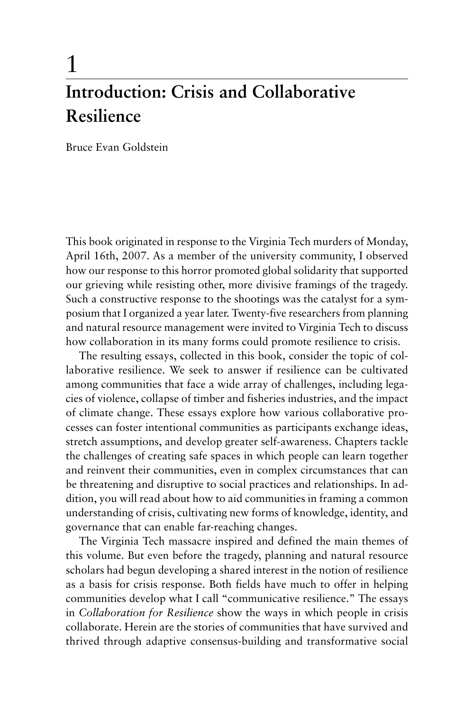# 1 **Introduction: Crisis and Collaborative Resilience**

Bruce Evan Goldstein

This book originated in response to the Virginia Tech murders of Monday, April 16th, 2007. As a member of the university community, I observed how our response to this horror promoted global solidarity that supported our grieving while resisting other, more divisive framings of the tragedy. Such a constructive response to the shootings was the catalyst for a symposium that I organized a year later. Twenty-five researchers from planning and natural resource management were invited to Virginia Tech to discuss how collaboration in its many forms could promote resilience to crisis.

The resulting essays, collected in this book, consider the topic of collaborative resilience. We seek to answer if resilience can be cultivated among communities that face a wide array of challenges, including legacies of violence, collapse of timber and fisheries industries, and the impact of climate change. These essays explore how various collaborative processes can foster intentional communities as participants exchange ideas, stretch assumptions, and develop greater self-awareness. Chapters tackle the challenges of creating safe spaces in which people can learn together and reinvent their communities, even in complex circumstances that can be threatening and disruptive to social practices and relationships. In addition, you will read about how to aid communities in framing a common understanding of crisis, cultivating new forms of knowledge, identity, and governance that can enable far- reaching changes.

The Virginia Tech massacre inspired and defined the main themes of this volume. But even before the tragedy, planning and natural resource scholars had begun developing a shared interest in the notion of resilience as a basis for crisis response. Both fields have much to offer in helping communities develop what I call "communicative resilience." The essays in *Collaboration for Resilience* show the ways in which people in crisis collaborate. Herein are the stories of communities that have survived and thrived through adaptive consensus- building and transformative social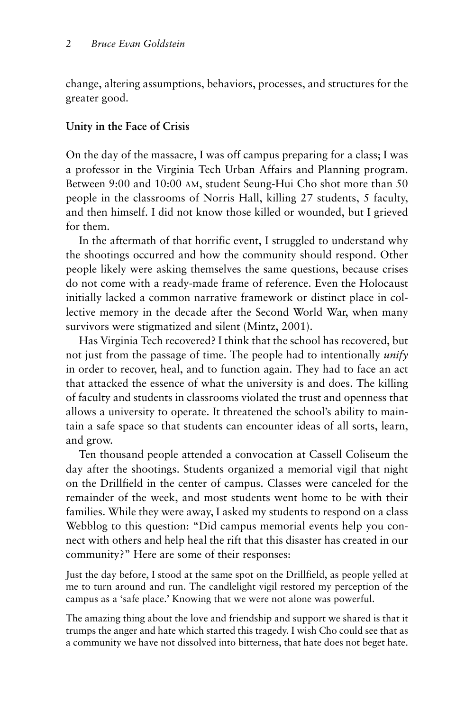change, altering assumptions, behaviors, processes, and structures for the greater good.

# **Unity in the Face of Crisis**

On the day of the massacre, I was off campus preparing for a class; I was a professor in the Virginia Tech Urban Affairs and Planning program. Between 9:00 and 10:00 AM, student Seung-Hui Cho shot more than 50 people in the classrooms of Norris Hall, killing 27 students, 5 faculty, and then himself. I did not know those killed or wounded, but I grieved for them.

In the aftermath of that horrific event, I struggled to understand why the shootings occurred and how the community should respond. Other people likely were asking themselves the same questions, because crises do not come with a ready- made frame of reference. Even the Holocaust initially lacked a common narrative framework or distinct place in collective memory in the decade after the Second World War, when many survivors were stigmatized and silent (Mintz, 2001).

Has Virginia Tech recovered? I think that the school has recovered, but not just from the passage of time. The people had to intentionally *unify* in order to recover, heal, and to function again. They had to face an act that attacked the essence of what the university is and does. The killing of faculty and students in classrooms violated the trust and openness that allows a university to operate. It threatened the school's ability to maintain a safe space so that students can encounter ideas of all sorts, learn, and grow.

Ten thousand people attended a convocation at Cassell Coliseum the day after the shootings. Students organized a memorial vigil that night on the Drillfield in the center of campus. Classes were canceled for the remainder of the week, and most students went home to be with their families. While they were away, I asked my students to respond on a class Webblog to this question: "Did campus memorial events help you connect with others and help heal the rift that this disaster has created in our community?" Here are some of their responses:

Just the day before, I stood at the same spot on the Drillfield, as people yelled at me to turn around and run. The candlelight vigil restored my perception of the campus as a 'safe place.' Knowing that we were not alone was powerful.

The amazing thing about the love and friendship and support we shared is that it trumps the anger and hate which started this tragedy. I wish Cho could see that as a community we have not dissolved into bitterness, that hate does not beget hate.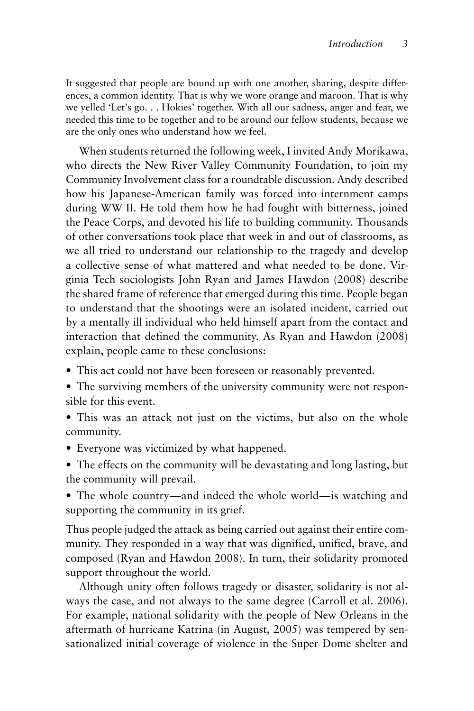It suggested that people are bound up with one another, sharing, despite differences, a common identity. That is why we wore orange and maroon. That is why we yelled 'Let's go. . . Hokies' together. With all our sadness, anger and fear, we needed this time to be together and to be around our fellow students, because we are the only ones who understand how we feel.

When students returned the following week, I invited Andy Morikawa, who directs the New River Valley Community Foundation, to join my Community Involvement class for a roundtable discussion. Andy described how his Japanese-American family was forced into internment camps during WW II. He told them how he had fought with bitterness, joined the Peace Corps, and devoted his life to building community. Thousands of other conversations took place that week in and out of classrooms, as we all tried to understand our relationship to the tragedy and develop a collective sense of what mattered and what needed to be done. Virginia Tech sociologists John Ryan and James Hawdon (2008) describe the shared frame of reference that emerged during this time. People began to understand that the shootings were an isolated incident, carried out by a mentally ill individual who held himself apart from the contact and interaction that defined the community. As Ryan and Hawdon (2008) explain, people came to these conclusions:

- This act could not have been foreseen or reasonably prevented.
- The surviving members of the university community were not responsible for this event.
- This was an attack not just on the victims, but also on the whole community.
- Everyone was victimized by what happened.
- The effects on the community will be devastating and long lasting, but the community will prevail.
- The whole country—and indeed the whole world—is watching and supporting the community in its grief.

Thus people judged the attack as being carried out against their entire community. They responded in a way that was dignified, unified, brave, and composed (Ryan and Hawdon 2008). In turn, their solidarity promoted support throughout the world.

Although unity often follows tragedy or disaster, solidarity is not always the case, and not always to the same degree (Carroll et al. 2006). For example, national solidarity with the people of New Orleans in the aftermath of hurricane Katrina (in August, 2005) was tempered by sensationalized initial coverage of violence in the Super Dome shelter and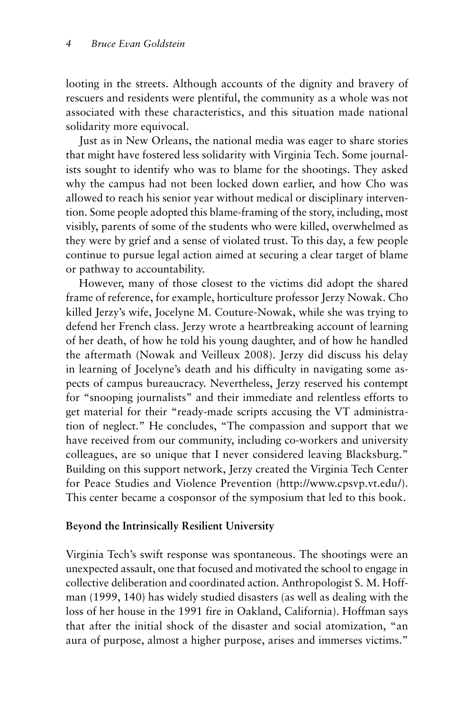looting in the streets. Although accounts of the dignity and bravery of rescuers and residents were plentiful, the community as a whole was not associated with these characteristics, and this situation made national solidarity more equivocal.

Just as in New Orleans, the national media was eager to share stories that might have fostered less solidarity with Virginia Tech. Some journalists sought to identify who was to blame for the shootings. They asked why the campus had not been locked down earlier, and how Cho was allowed to reach his senior year without medical or disciplinary intervention. Some people adopted this blame- framing of the story, including, most visibly, parents of some of the students who were killed, overwhelmed as they were by grief and a sense of violated trust. To this day, a few people continue to pursue legal action aimed at securing a clear target of blame or pathway to accountability.

However, many of those closest to the victims did adopt the shared frame of reference, for example, horticulture professor Jerzy Nowak. Cho killed Jerzy's wife, Jocelyne M. Couture- Nowak, while she was trying to defend her French class. Jerzy wrote a heartbreaking account of learning of her death, of how he told his young daughter, and of how he handled the aftermath (Nowak and Veilleux 2008). Jerzy did discuss his delay in learning of Jocelyne's death and his difficulty in navigating some aspects of campus bureaucracy. Nevertheless, Jerzy reserved his contempt for "snooping journalists" and their immediate and relentless efforts to get material for their "ready-made scripts accusing the VT administration of neglect." He concludes, "The compassion and support that we have received from our community, including co-workers and university colleagues, are so unique that I never considered leaving Blacksburg." Building on this support network, Jerzy created the Virginia Tech Center for Peace Studies and Violence Prevention (http://www.cpsvp.vt.edu/). This center became a cosponsor of the symposium that led to this book.

# **Beyond the Intrinsically Resilient University**

Virginia Tech's swift response was spontaneous. The shootings were an unexpected assault, one that focused and motivated the school to engage in collective deliberation and coordinated action. Anthropologist S. M. Hoffman (1999,140) has widely studied disasters (as well as dealing with the loss of her house in the 1991 fire in Oakland, California). Hoffman says that after the initial shock of the disaster and social atomization, "an aura of purpose, almost a higher purpose, arises and immerses victims."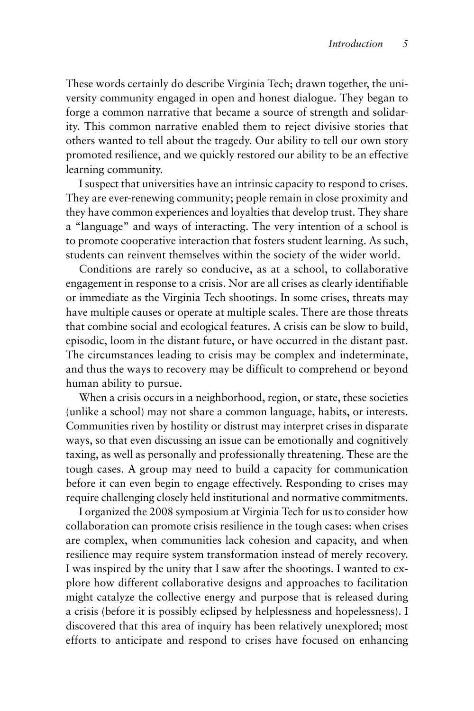These words certainly do describe Virginia Tech; drawn together, the university community engaged in open and honest dialogue. They began to forge a common narrative that became a source of strength and solidarity. This common narrative enabled them to reject divisive stories that others wanted to tell about the tragedy. Our ability to tell our own story promoted resilience, and we quickly restored our ability to be an effective learning community.

I suspect that universities have an intrinsic capacity to respond to crises. They are ever-renewing community; people remain in close proximity and they have common experiences and loyalties that develop trust. They share a "language" and ways of interacting. The very intention of a school is to promote cooperative interaction that fosters student learning. As such, students can reinvent themselves within the society of the wider world.

Conditions are rarely so conducive, as at a school, to collaborative engagement in response to a crisis. Nor are all crises as clearly identifiable or immediate as the Virginia Tech shootings. In some crises, threats may have multiple causes or operate at multiple scales. There are those threats that combine social and ecological features. A crisis can be slow to build, episodic, loom in the distant future, or have occurred in the distant past. The circumstances leading to crisis may be complex and indeterminate, and thus the ways to recovery may be difficult to comprehend or beyond human ability to pursue.

When a crisis occurs in a neighborhood, region, or state, these societies (unlike a school) may not share a common language, habits, or interests. Communities riven by hostility or distrust may interpret crises in disparate ways, so that even discussing an issue can be emotionally and cognitively taxing, as well as personally and professionally threatening. These are the tough cases. A group may need to build a capacity for communication before it can even begin to engage effectively. Responding to crises may require challenging closely held institutional and normative commitments.

I organized the 2008 symposium at Virginia Tech for us to consider how collaboration can promote crisis resilience in the tough cases: when crises are complex, when communities lack cohesion and capacity, and when resilience may require system transformation instead of merely recovery. I was inspired by the unity that I saw after the shootings. I wanted to explore how different collaborative designs and approaches to facilitation might catalyze the collective energy and purpose that is released during a crisis (before it is possibly eclipsed by helplessness and hopelessness). I discovered that this area of inquiry has been relatively unexplored; most efforts to anticipate and respond to crises have focused on enhancing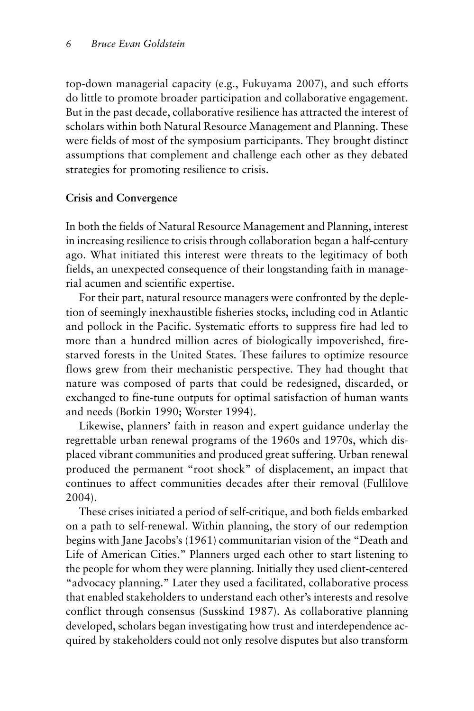top-down managerial capacity (e.g., Fukuyama 2007), and such efforts do little to promote broader participation and collaborative engagement. But in the past decade, collaborative resilience has attracted the interest of scholars within both Natural Resource Management and Planning. These were fields of most of the symposium participants. They brought distinct assumptions that complement and challenge each other as they debated strategies for promoting resilience to crisis.

# **Crisis and Convergence**

In both the fields of Natural Resource Management and Planning, interest in increasing resilience to crisis through collaboration began a half- century ago. What initiated this interest were threats to the legitimacy of both fields, an unexpected consequence of their longstanding faith in managerial acumen and scientific expertise.

For their part, natural resource managers were confronted by the depletion of seemingly inexhaustible fisheries stocks, including cod in Atlantic and pollock in the Pacific. Systematic efforts to suppress fire had led to more than a hundred million acres of biologically impoverished, firestarved forests in the United States. These failures to optimize resource flows grew from their mechanistic perspective. They had thought that nature was composed of parts that could be redesigned, discarded, or exchanged to fine-tune outputs for optimal satisfaction of human wants and needs (Botkin 1990; Worster 1994).

Likewise, planners' faith in reason and expert guidance underlay the regrettable urban renewal programs of the 1960s and 1970s, which displaced vibrant communities and produced great suffering. Urban renewal produced the permanent "root shock" of displacement, an impact that continues to affect communities decades after their removal (Fullilove  $2004$ .

These crises initiated a period of self- critique, and both fields embarked on a path to self- renewal. Within planning, the story of our redemption begins with Jane Jacobs's (1961) communitarian vision of the "Death and Life of American Cities." Planners urged each other to start listening to the people for whom they were planning. Initially they used client- centered "advocacy planning." Later they used a facilitated, collaborative process that enabled stakeholders to understand each other's interests and resolve conflict through consensus (Susskind 1987). As collaborative planning developed, scholars began investigating how trust and interdependence acquired by stakeholders could not only resolve disputes but also transform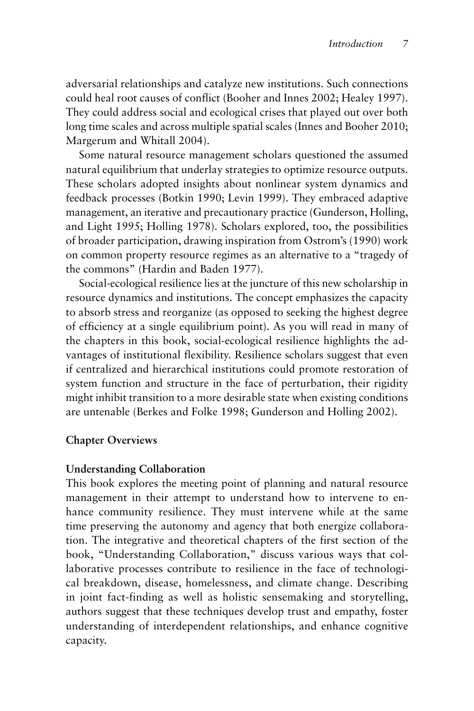adversarial relationships and catalyze new institutions. Such connections could heal root causes of conflict (Booher and Innes 2002; Healey 1997). They could address social and ecological crises that played out over both long time scales and across multiple spatial scales (Innes and Booher 2010; Margerum and Whitall 2004).

Some natural resource management scholars questioned the assumed natural equilibrium that underlay strategies to optimize resource outputs. These scholars adopted insights about nonlinear system dynamics and feedback processes (Botkin 1990; Levin 1999). They embraced adaptive management, an iterative and precautionary practice (Gunderson, Holling, and Light 1995; Holling 1978). Scholars explored, too, the possibilities of broader participation, drawing inspiration from Ostrom's (1990) work on common property resource regimes as an alternative to a "tragedy of the commons" (Hardin and Baden 1977).

Social- ecological resilience lies at the juncture of this new scholarship in resource dynamics and institutions. The concept emphasizes the capacity to absorb stress and reorganize (as opposed to seeking the highest degree of efficiency at a single equilibrium point). As you will read in many of the chapters in this book, social- ecological resilience highlights the advantages of institutional flexibility. Resilience scholars suggest that even if centralized and hierarchical institutions could promote restoration of system function and structure in the face of perturbation, their rigidity might inhibit transition to a more desirable state when existing conditions are untenable (Berkes and Folke 1998; Gunderson and Holling 2002).

# **Chapter Overviews**

# **Understanding Collaboration**

This book explores the meeting point of planning and natural resource management in their attempt to understand how to intervene to enhance community resilience. They must intervene while at the same time preserving the autonomy and agency that both energize collaboration. The integrative and theoretical chapters of the first section of the book, "Understanding Collaboration," discuss various ways that collaborative processes contribute to resilience in the face of technological breakdown, disease, homelessness, and climate change. Describing in joint fact-finding as well as holistic sensemaking and storytelling, authors suggest that these techniques develop trust and empathy, foster understanding of interdependent relationships, and enhance cognitive capacity.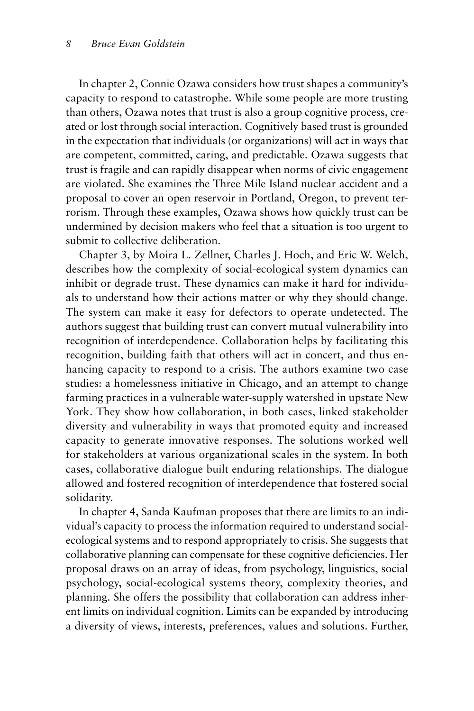In chapter 2, Connie Ozawa considers how trust shapes a community's capacity to respond to catastrophe. While some people are more trusting than others, Ozawa notes that trust is also a group cognitive process, created or lost through social interaction. Cognitively based trust is grounded in the expectation that individuals (or organizations) will act in ways that are competent, committed, caring, and predictable. Ozawa suggests that trust is fragile and can rapidly disappear when norms of civic engagement are violated. She examines the Three Mile Island nuclear accident and a proposal to cover an open reservoir in Portland, Oregon, to prevent terrorism. Through these examples, Ozawa shows how quickly trust can be undermined by decision makers who feel that a situation is too urgent to submit to collective deliberation.

Chapter 3, by Moira L. Zellner, Charles J. Hoch, and Eric W. Welch, describes how the complexity of social-ecological system dynamics can inhibit or degrade trust. These dynamics can make it hard for individuals to understand how their actions matter or why they should change. The system can make it easy for defectors to operate undetected. The authors suggest that building trust can convert mutual vulnerability into recognition of interdependence. Collaboration helps by facilitating this recognition, building faith that others will act in concert, and thus enhancing capacity to respond to a crisis. The authors examine two case studies: a homelessness initiative in Chicago, and an attempt to change farming practices in a vulnerable water-supply watershed in upstate New York. They show how collaboration, in both cases, linked stakeholder diversity and vulnerability in ways that promoted equity and increased capacity to generate innovative responses. The solutions worked well for stakeholders at various organizational scales in the system. In both cases, collaborative dialogue built enduring relationships. The dialogue allowed and fostered recognition of interdependence that fostered social solidarity.

In chapter 4, Sanda Kaufman proposes that there are limits to an individual's capacity to process the information required to understand socialecological systems and to respond appropriately to crisis. She suggests that collaborative planning can compensate for these cognitive deficiencies. Her proposal draws on an array of ideas, from psychology, linguistics, social psychology, social-ecological systems theory, complexity theories, and planning. She offers the possibility that collaboration can address inherent limits on individual cognition. Limits can be expanded by introducing a diversity of views, interests, preferences, values and solutions. Further,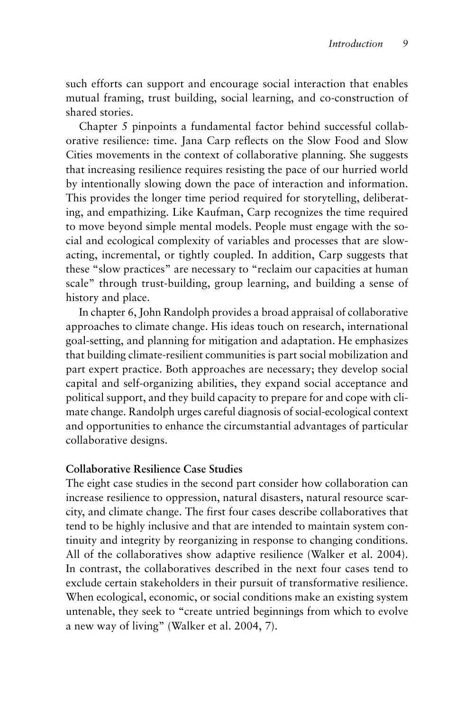such efforts can support and encourage social interaction that enables mutual framing, trust building, social learning, and co-construction of shared stories.

Chapter 5 pinpoints a fundamental factor behind successful collaborative resilience: time. Jana Carp reflects on the Slow Food and Slow Cities movements in the context of collaborative planning. She suggests that increasing resilience requires resisting the pace of our hurried world by intentionally slowing down the pace of interaction and information. This provides the longer time period required for storytelling, deliberating, and empathizing. Like Kaufman, Carp recognizes the time required to move beyond simple mental models. People must engage with the social and ecological complexity of variables and processes that are slowacting, incremental, or tightly coupled. In addition, Carp suggests that these "slow practices" are necessary to "reclaim our capacities at human scale" through trust-building, group learning, and building a sense of history and place.

In chapter 6, John Randolph provides a broad appraisal of collaborative approaches to climate change. His ideas touch on research, international goal- setting, and planning for mitigation and adaptation. He emphasizes that building climate- resilient communities is part social mobilization and part expert practice. Both approaches are necessary; they develop social capital and self-organizing abilities, they expand social acceptance and political support, and they build capacity to prepare for and cope with climate change. Randolph urges careful diagnosis of social-ecological context and opportunities to enhance the circumstantial advantages of particular collaborative designs.

# **Collaborative Resilience Case Studies**

The eight case studies in the second part consider how collaboration can increase resilience to oppression, natural disasters, natural resource scarcity, and climate change. The first four cases describe collaboratives that tend to be highly inclusive and that are intended to maintain system continuity and integrity by reorganizing in response to changing conditions. All of the collaboratives show adaptive resilience (Walker et al. 2004). In contrast, the collaboratives described in the next four cases tend to exclude certain stakeholders in their pursuit of transformative resilience. When ecological, economic, or social conditions make an existing system untenable, they seek to "create untried beginnings from which to evolve a new way of living" (Walker et al. 2004, 7).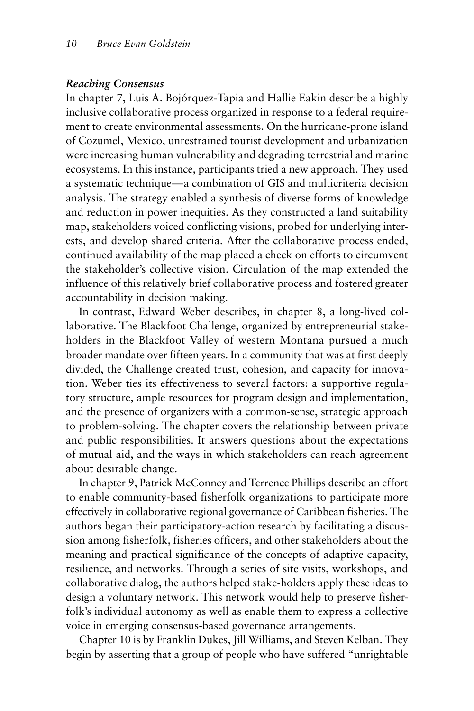#### *Reaching Consensus*

In chapter 7, Luis A. Bojórquez- Tapia and Hallie Eakin describe a highly inclusive collaborative process organized in response to a federal requirement to create environmental assessments. On the hurricane- prone island of Cozumel, Mexico, unrestrained tourist development and urbanization were increasing human vulnerability and degrading terrestrial and marine ecosystems. In this instance, participants tried a new approach. They used a systematic technique—a combination of GIS and multicriteria decision analysis. The strategy enabled a synthesis of diverse forms of knowledge and reduction in power inequities. As they constructed a land suitability map, stakeholders voiced conflicting visions, probed for underlying interests, and develop shared criteria. After the collaborative process ended, continued availability of the map placed a check on efforts to circumvent the stakeholder's collective vision. Circulation of the map extended the influence of this relatively brief collaborative process and fostered greater accountability in decision making.

In contrast, Edward Weber describes, in chapter 8, a long-lived collaborative. The Blackfoot Challenge, organized by entrepreneurial stakeholders in the Blackfoot Valley of western Montana pursued a much broader mandate over fifteen years. In a community that was at first deeply divided, the Challenge created trust, cohesion, and capacity for innovation. Weber ties its effectiveness to several factors: a supportive regulatory structure, ample resources for program design and implementation, and the presence of organizers with a common-sense, strategic approach to problem- solving. The chapter covers the relationship between private and public responsibilities. It answers questions about the expectations of mutual aid, and the ways in which stakeholders can reach agreement about desirable change.

In chapter 9, Patrick McConney and Terrence Phillips describe an effort to enable community- based fisherfolk organizations to participate more effectively in collaborative regional governance of Caribbean fisheries. The authors began their participatory-action research by facilitating a discussion among fisherfolk, fisheries officers, and other stakeholders about the meaning and practical significance of the concepts of adaptive capacity, resilience, and networks. Through a series of site visits, workshops, and collaborative dialog, the authors helped stake-holders apply these ideas to design a voluntary network. This network would help to preserve fisherfolk's individual autonomy as well as enable them to express a collective voice in emerging consensus- based governance arrangements.

Chapter 10 is by Franklin Dukes, Jill Williams, and Steven Kelban. They begin by asserting that a group of people who have suffered "unrightable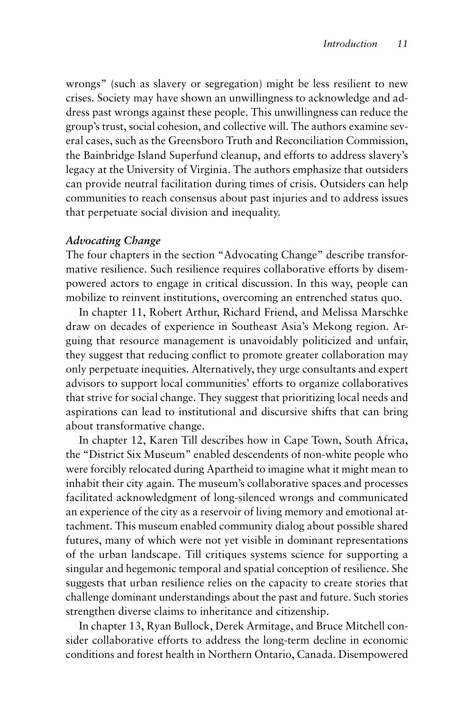wrongs" (such as slavery or segregation) might be less resilient to new crises. Society may have shown an unwillingness to acknowledge and address past wrongs against these people. This unwillingness can reduce the group's trust, social cohesion, and collective will. The authors examine several cases, such as the Greensboro Truth and Reconciliation Commission, the Bainbridge Island Superfund cleanup, and efforts to address slavery's legacy at the University of Virginia. The authors emphasize that outsiders can provide neutral facilitation during times of crisis. Outsiders can help communities to reach consensus about past injuries and to address issues that perpetuate social division and inequality.

#### *Advocating Change*

The four chapters in the section "Advocating Change" describe transformative resilience. Such resilience requires collaborative efforts by disempowered actors to engage in critical discussion. In this way, people can mobilize to reinvent institutions, overcoming an entrenched status quo.

In chapter 11, Robert Arthur, Richard Friend, and Melissa Marschke draw on decades of experience in Southeast Asia's Mekong region. Arguing that resource management is unavoidably politicized and unfair, they suggest that reducing conflict to promote greater collaboration may only perpetuate inequities. Alternatively, they urge consultants and expert advisors to support local communities' efforts to organize collaboratives that strive for social change. They suggest that prioritizing local needs and aspirations can lead to institutional and discursive shifts that can bring about transformative change.

In chapter 12, Karen Till describes how in Cape Town, South Africa, the "District Six Museum" enabled descendents of non- white people who were forcibly relocated during Apartheid to imagine what it might mean to inhabit their city again. The museum's collaborative spaces and processes facilitated acknowledgment of long- silenced wrongs and communicated an experience of the city as a reservoir of living memory and emotional attachment. This museum enabled community dialog about possible shared futures, many of which were not yet visible in dominant representations of the urban landscape. Till critiques systems science for supporting a singular and hegemonic temporal and spatial conception of resilience. She suggests that urban resilience relies on the capacity to create stories that challenge dominant understandings about the past and future. Such stories strengthen diverse claims to inheritance and citizenship.

In chapter 13, Ryan Bullock, Derek Armitage, and Bruce Mitchell consider collaborative efforts to address the long-term decline in economic conditions and forest health in Northern Ontario, Canada. Disempowered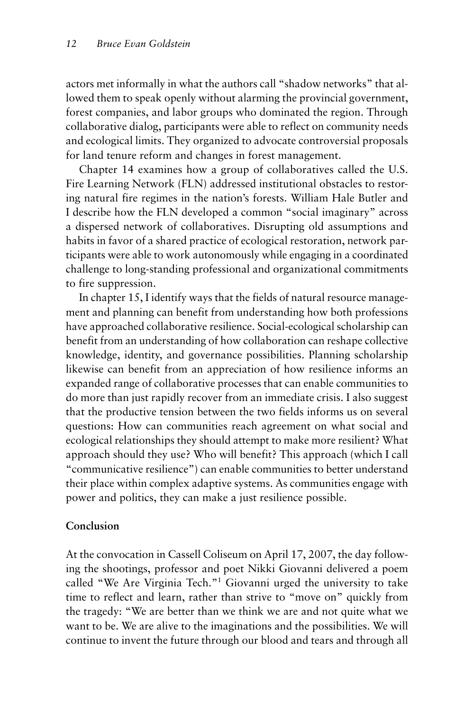actors met informally in what the authors call "shadow networks" that allowed them to speak openly without alarming the provincial government, forest companies, and labor groups who dominated the region. Through collaborative dialog, participants were able to reflect on community needs and ecological limits. They organized to advocate controversial proposals for land tenure reform and changes in forest management.

Chapter 14 examines how a group of collaboratives called the U.S. Fire Learning Network (FLN) addressed institutional obstacles to restoring natural fire regimes in the nation's forests. William Hale Butler and I describe how the FLN developed a common "social imaginary" across a dispersed network of collaboratives. Disrupting old assumptions and habits in favor of a shared practice of ecological restoration, network participants were able to work autonomously while engaging in a coordinated challenge to long- standing professional and organizational commitments to fire suppression.

In chapter 15, I identify ways that the fields of natural resource management and planning can benefit from understanding how both professions have approached collaborative resilience. Social- ecological scholarship can benefit from an understanding of how collaboration can reshape collective knowledge, identity, and governance possibilities. Planning scholarship likewise can benefit from an appreciation of how resilience informs an expanded range of collaborative processes that can enable communities to do more than just rapidly recover from an immediate crisis. I also suggest that the productive tension between the two fields informs us on several questions: How can communities reach agreement on what social and ecological relationships they should attempt to make more resilient? What approach should they use? Who will benefit? This approach (which I call "communicative resilience") can enable communities to better understand their place within complex adaptive systems. As communities engage with power and politics, they can make a just resilience possible.

# **Conclusion**

At the convocation in Cassell Coliseum on April 17, 2007, the day following the shootings, professor and poet Nikki Giovanni delivered a poem called "We Are Virginia Tech."<sup>1</sup> Giovanni urged the university to take time to reflect and learn, rather than strive to "move on" quickly from the tragedy: "We are better than we think we are and not quite what we want to be. We are alive to the imaginations and the possibilities. We will continue to invent the future through our blood and tears and through all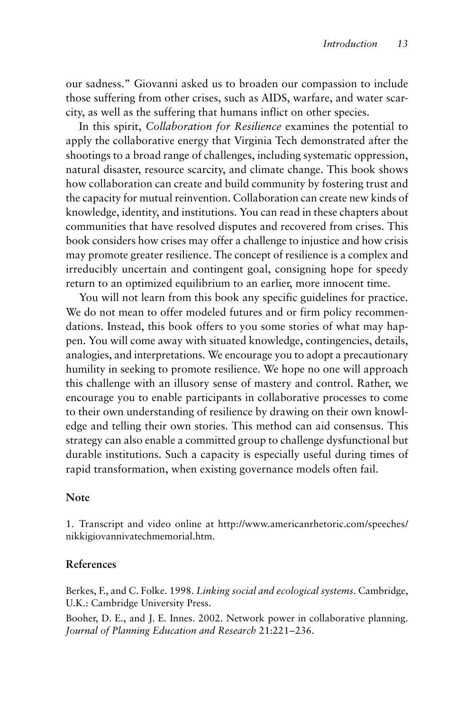our sadness." Giovanni asked us to broaden our compassion to include those suffering from other crises, such as AIDS, warfare, and water scarcity, as well as the suffering that humans inflict on other species.

In this spirit, *Collaboration for Resilience* examines the potential to apply the collaborative energy that Virginia Tech demonstrated after the shootings to a broad range of challenges, including systematic oppression, natural disaster, resource scarcity, and climate change. This book shows how collaboration can create and build community by fostering trust and the capacity for mutual reinvention. Collaboration can create new kinds of knowledge, identity, and institutions. You can read in these chapters about communities that have resolved disputes and recovered from crises. This book considers how crises may offer a challenge to injustice and how crisis may promote greater resilience. The concept of resilience is a complex and irreducibly uncertain and contingent goal, consigning hope for speedy return to an optimized equilibrium to an earlier, more innocent time.

You will not learn from this book any specific guidelines for practice. We do not mean to offer modeled futures and or firm policy recommendations. Instead, this book offers to you some stories of what may happen. You will come away with situated knowledge, contingencies, details, analogies, and interpretations. We encourage you to adopt a precautionary humility in seeking to promote resilience. We hope no one will approach this challenge with an illusory sense of mastery and control. Rather, we encourage you to enable participants in collaborative processes to come to their own understanding of resilience by drawing on their own knowledge and telling their own stories. This method can aid consensus. This strategy can also enable a committed group to challenge dysfunctional but durable institutions. Such a capacity is especially useful during times of rapid transformation, when existing governance models often fail.

# **Note**

1. Transcript and video online at http://www.americanrhetoric.com/speeches/ nikkigiovannivatechmemorial.htm.

# **References**

Berkes , F. , and C. Folke . 1998 . *Linking social and ecological systems*. Cambridge, U.K.: Cambridge University Press.

Booher, D. E., and J. E. Innes. 2002. Network power in collaborative planning. *Journal of Planning Education and Research 21:221-236.*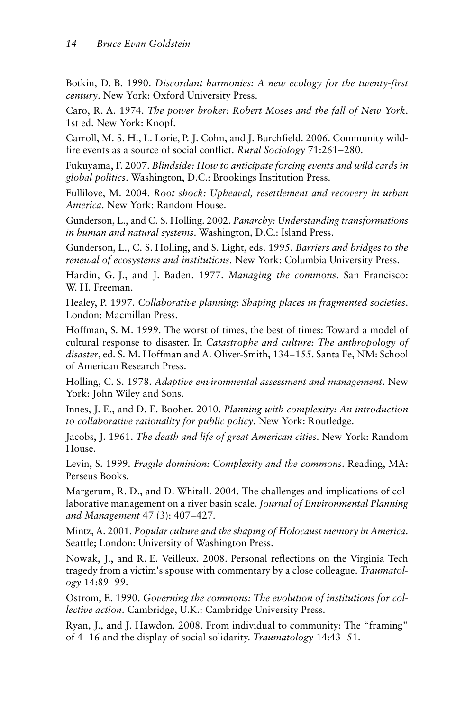Botkin , D. B. 1990 . *Discordant harmonies: A new ecology for the twenty- first century*. New York: Oxford University Press.

Caro, R. A. 1974. *The power broker: Robert Moses and the fall of New York*. 1st ed. New York: Knopf.

Carroll, M. S. H., L. Lorie, P. J. Cohn, and J. Burchfield. 2006. Community wildfire events as a source of social conflict. *Rural Sociology* 71:261-280.

Fukuyama , F. 2007 . *Blindside: How to anticipate forcing events and wild cards in global politics*. Washington, D.C. : Brookings Institution Press .

Fullilove, M. 2004. Root shock: Upheaval, resettlement and recovery in urban *America*. New York: Random House.

Gunderson, L., and C. S. Holling. 2002. *Panarchy: Understanding transformations in human and natural systems*. Washington, D.C.: Island Press.

Gunderson, L., C. S. Holling, and S. Light, eds. 1995. *Barriers and bridges to the renewal of ecosystems and institutions*. New York: Columbia University Press.

Hardin, G. J., and J. Baden. 1977. *Managing the commons*. San Francisco: W. H. Freeman

Healey, P. 1997. Collaborative planning: Shaping places in fragmented societies. London: Macmillan Press.

Hoffman, S. M. 1999. The worst of times, the best of times: Toward a model of cultural response to disaster . In *Catastrophe and culture: The anthropology of*  disaster, ed. S. M. Hoffman and A. Oliver-Smith, 134–155. Santa Fe, NM: School of American Research Press .

Holling, C. S. 1978. *Adaptive environmental assessment and management*. New York: John Wiley and Sons.

Innes, J. E., and D. E. Booher. 2010. *Planning with complexity: An introduction to collaborative rationality for public policy*. New York: Routledge.

Jacobs, J. 1961. *The death and life of great American cities*. New York: Random House.

Levin, S. 1999. *Fragile dominion: Complexity and the commons*. Reading, MA: Perseus Books.

Margerum, R. D., and D. Whitall. 2004. The challenges and implications of collaborative management on a river basin scale. *Journal of Environmental Planning and Management* 47 (3): 407–427.

Mintz , A. 2001 . *Popular culture and the shaping of Holocaust memory in America*. Seattle; London: University of Washington Press.

Nowak, J., and R. E. Veilleux. 2008. Personal reflections on the Virginia Tech tragedy from a victim's spouse with commentary by a close colleague. *Traumatology* 14 : 89 – 99 .

Ostrom , E. 1990 . *Governing the commons: The evolution of institutions for collective action*. Cambridge, U.K.: Cambridge University Press.

Ryan, J., and J. Hawdon. 2008. From individual to community: The "framing" of 4–16 and the display of social solidarity. *Traumatology* 14:43–51.